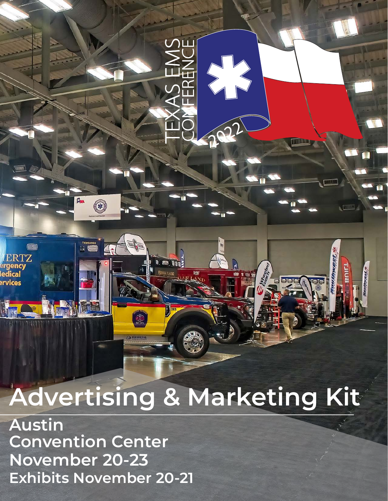# **Advertising & Marketing Kit**

**FORMAS A LIVED** 

 $\sum_{i=1}^{n}$ 

**Austin Convention Center November 20-23 Exhibits November 20-21**

 $\overline{p}_{m}$ 

TX094004

ERTZ

edical

3

A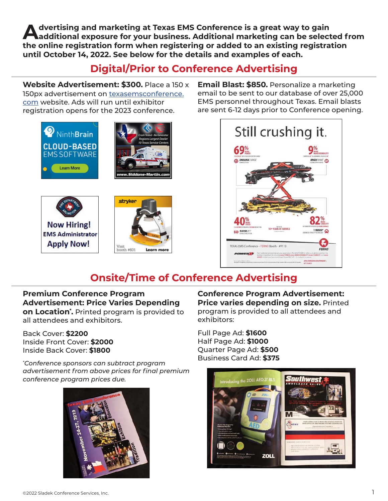**Advertising and marketing at Texas EMS Conference is a great way to gain additional exposure for your business. Additional marketing can be selected from the online registration form when registering or added to an existing registration until October 14, 2022. See below for the details and examples of each.**

# **Digital/Prior to Conference Advertising**

**Website Advertisement: \$300.** Place a 150 x 150px advertisement on texasemsconference. com website. Ads will run until exhibitor registration opens for the 2023 conference.









**Email Blast: \$850.** Personalize a marketing email to be sent to our database of over 25,000 EMS personnel throughout Texas. Email blasts are sent 6-12 days prior to Conference opening.



# **Onsite/Time of Conference Advertising**

# **Premium Conference Program Advertisement: Price Varies Depending**

**on Location\* .** Printed program is provided to all attendees and exhibitors.

Back Cover: **\$2200** Inside Front Cover: **\$2000** Inside Back Cover: **\$1800**

*\* Conference sponsors can subtract program advertisement from above prices for final premium conference program prices due.* 



**Conference Program Advertisement: Price varies depending on size.** Printed program is provided to all attendees and exhibitors:

Full Page Ad: **\$1600** Half Page Ad: **\$1000** Quarter Page Ad: **\$500** Business Card Ad: **\$375**

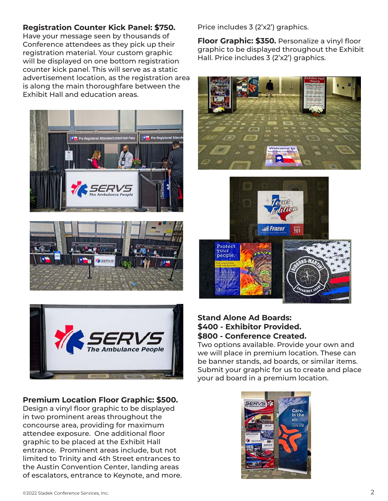## **Registration Counter Kick Panel: \$750.**

Have your message seen by thousands of Conference attendees as they pick up their registration material. Your custom graphic will be displayed on one bottom registration counter kick panel. This will serve as a static advertisement location, as the registration area is along the main thoroughfare between the Exhibit Hall and education areas.







#### **Premium Location Floor Graphic: \$500.**

Design a vinyl floor graphic to be displayed in two prominent areas throughout the concourse area, providing for maximum attendee exposure. One additional floor graphic to be placed at the Exhibit Hall entrance. Prominent areas include, but not limited to Trinity and 4th Street entrances to the Austin Convention Center, landing areas of escalators, entrance to Keynote, and more. Price includes 3 (2'x2') graphics.

**Floor Graphic: \$350.** Personalize a vinyl floor graphic to be displayed throughout the Exhibit Hall. Price includes 3 (2'x2') graphics.





### **Stand Alone Ad Boards: \$400 - Exhibitor Provided. \$800 - Conference Created.**

Two options available. Provide your own and we will place in premium location. These can be banner stands, ad boards, or similar items. Submit your graphic for us to create and place your ad board in a premium location.